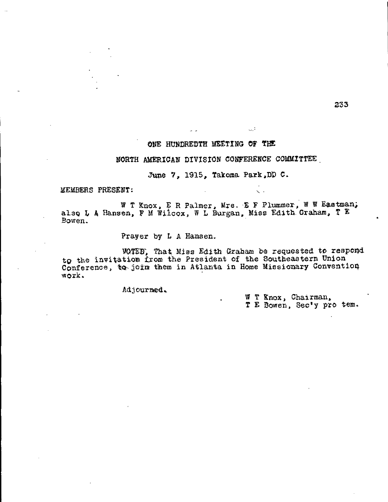## **ONE HUNDREDTH MEETING OF THE**

## **NORTH AMERICAN DIVISION CONFERENCE COMMITTEE**

د ب

June 7, 1915, Takoma Park, DD C.

**MEMBERS PRESENT:** 

W T Knox, E R Palmer, Mrs. E F Plummer, W W Eastman, **also L A Hansen, F M Wilcox, W L Burgan, Miss Edith Graham, T E Bowen.** 

**Prayer by L A Hansen.** 

**VOTED, That Miss Edith Graham be requested to respond to the invitation from the President of the Southeastern Union**  Conference, to join them in Atlanta in Home Missionary Convention **work.** 

Adjourned.

**W T Knox, Chairman, T E Bowen, Sec'y pro tern.**